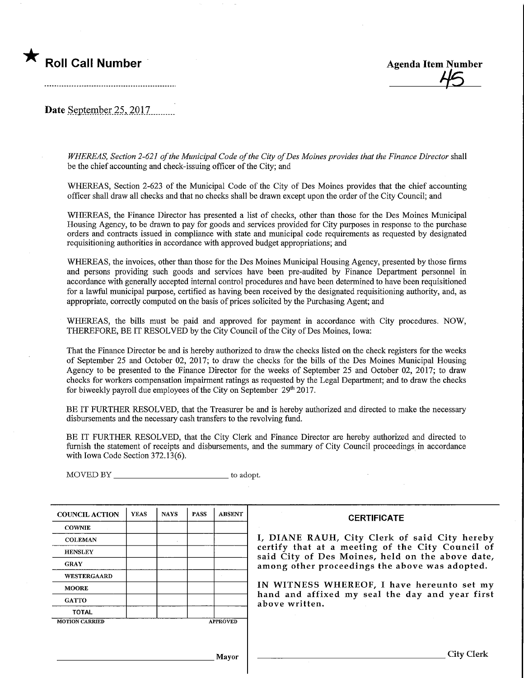## Roll Call Number Agenda Item Number



Date September 25, 2017

WHEREAS, Section 2-621 of the Municipal Code of the City of Des Moines provides that the Finance Director shall be the chief accounting and check-issuing officer of the City; and

WHEREAS, Section 2-623 of the Municipal Code of the City of Des Moines provides that the chief accounting officer shall draw all checks and that no checks shall be drawn except upon the order of the City Council; and

WHEREAS, the Finance Director has presented a list of checks, other than those for the Des Moines Municipal Housing Agency, to be drawn to pay for goods and services provided for City purposes in response to the purchase orders and contracts issued in compliance with state and municipal code requirements as requested by designated requisitioning authorities in accordance with approved budget appropriations; and

WHEREAS, the invoices, other than those for the Des Moines Municipal Housing Agency, presented by those firms and persons providing such goods and services have been pre-audited by Finance Department personnel in accordance with generally accepted internal control procedures and have been determined to have been requisitioned for a lawful municipal purpose, certified as having been received by the designated requisitioning authority, and,as appropriate, correctly computed on the basis of prices solicited by the Purchasing Agent; and

WHEREAS, the bills must be paid and approved for payment in accordance with City procedures. NOW, THEREFORE, BE IT RESOLVED by the City Council of the City of Des Moines, Iowa:

That the Finance Director be and is hereby authorized to draw the checks listed on the check registers for the weeks of September 25 and October 02, 2017; to draw the checks for the bills of the Des Moines Municipal Housing Agency to be presented to the Finance Director for the weeks of September 25 and October 02, 2017; to draw checks for workers compensation impairment ratings as requested by the Legal Department; and to draw the checks for biweekly payroll due employees of the City on September  $29<sup>th</sup> 2017$ .

BE IT FURTHER RESOLVED, that the Treasurer be and is hereby authorized and directed to make the necessary disbursements and the necessary cash transfers to the revolving fund.

BE IT FURTHER RESOLVED, that the City Clerk and Finance Director are hereby authorized and directed to furnish the statement of receipts and disbursements, and the summary of City Council proceedings in accordance with Iowa Code Section 372.13(6).

MOVED BY \_\_\_\_\_\_\_\_\_\_\_\_\_\_\_\_\_\_\_\_\_\_\_\_\_\_\_\_\_\_\_\_\_ to adopt.

| <b>COUNCIL ACTION</b> | <b>YEAS</b> | <b>NAYS</b> | <b>PASS</b> | <b>ABSENT</b>   | <b>CERTIFICATE</b>                                                                                   |  |  |
|-----------------------|-------------|-------------|-------------|-----------------|------------------------------------------------------------------------------------------------------|--|--|
| <b>COWNIE</b>         |             |             |             |                 |                                                                                                      |  |  |
| <b>COLEMAN</b>        |             |             |             |                 | I, DIANE RAUH, City Clerk of said City hereby                                                        |  |  |
| <b>HENSLEY</b>        |             |             |             |                 | certify that at a meeting of the City Council of<br>said City of Des Moines, held on the above date, |  |  |
| <b>GRAY</b>           |             |             |             |                 | among other proceedings the above was adopted.                                                       |  |  |
| <b>WESTERGAARD</b>    |             |             |             |                 |                                                                                                      |  |  |
| <b>MOORE</b>          |             |             |             |                 | IN WITNESS WHEREOF, I have hereunto set my                                                           |  |  |
| <b>GATTO</b>          |             |             |             |                 | hand and affixed my seal the day and year first<br>above written.                                    |  |  |
| <b>TOTAL</b>          |             |             |             |                 |                                                                                                      |  |  |
| <b>MOTION CARRIED</b> |             |             |             | <b>APPROVED</b> |                                                                                                      |  |  |
|                       |             |             |             |                 |                                                                                                      |  |  |
|                       |             |             |             |                 |                                                                                                      |  |  |
|                       |             |             |             | Mayor           | <b>City Clerk</b>                                                                                    |  |  |
|                       |             |             |             |                 |                                                                                                      |  |  |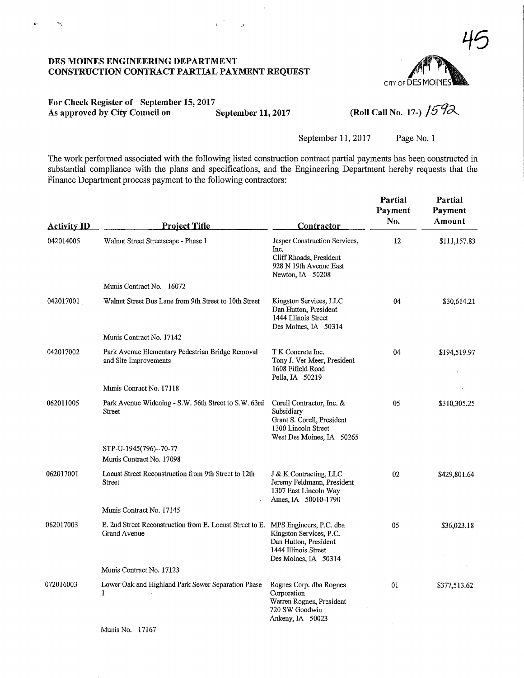# 45 CITY OF DES MOINE

#### DES MOINES ENGINEERING DEPARTMENT CONSTRUCTION CONTRACT PARTIAL PAYMENT REQUEST

Ň,

 $\mathbf{c}$ 

#### For Check Register of September 15,2017 As approved by City Council on September 11, 2017

(Roll Call No. 17-)  $/592$ 

September 11, 2017 Page No. 1

The work performed associated with the following listed construction contract partial payments has been constructed in substantial compliance with the plans and specifications, and the Engineering Department hereby requests that the Finance Department process payment to the following contractors:

| <b>Activity ID</b> | <b>Project Title</b>                                                                                    | <b>Contractor</b>                                                                                                         | Partial<br>Payment<br>No. | Partial<br>Payment<br>Amount |
|--------------------|---------------------------------------------------------------------------------------------------------|---------------------------------------------------------------------------------------------------------------------------|---------------------------|------------------------------|
| 042014005          | Walnut Street Streetscape - Phase 1                                                                     | Jasper Construction Services,<br>Inc.<br>Cliff Rhoads, President<br>928 N 19th Avenue East<br>Newton, IA 50208            | 12                        | \$111,157.83                 |
|                    | Munis Contract No. 16072                                                                                |                                                                                                                           |                           |                              |
| 042017001          | Walnut Street Bus Lane from 9th Street to 10th Street                                                   | Kingston Services, LLC<br>Dan Hutton, President<br>1444 Illinois Street<br>Des Moines, IA 50314                           | 04                        | \$30,614.21                  |
|                    | Munis Contract No. 17142                                                                                |                                                                                                                           |                           |                              |
| 042017002          | Park Avenue Elementary Pedestrian Bridge Removal<br>and Site Improvements                               | T K Concrete Inc.<br>Tony J. Ver Meer, President<br>1608 Fifield Road<br>Pella, IA 50219                                  | 04                        | \$194,519.97                 |
|                    | Munis Conract No. 17118                                                                                 |                                                                                                                           |                           |                              |
| 062011005          | Park Avenue Widening - S.W. 56th Street to S.W. 63rd<br>Street                                          | Corell Contractor, Inc. &<br>Subsidiary<br>Grant S. Corell, President<br>1300 Lincoln Street<br>West Des Moines, IA 50265 | 05                        | \$310,305.25                 |
|                    | STP-U-1945(796)--70-77<br>Munis Contract No. 17098                                                      |                                                                                                                           |                           |                              |
| 062017001          | Locust Street Reconstruction from 9th Street to 12th<br>Street                                          | J & K Contracting, LLC<br>Jeremy Feldmann, President<br>1307 East Lincoln Way<br>Ames, IA 50010-1790                      | 02                        | \$429,801.64                 |
|                    | Munis Contract No. 17145                                                                                |                                                                                                                           |                           |                              |
| 062017003          | E. 2nd Street Reconstruction from E. Locust Street to E. MPS Engineers, P.C. dba<br><b>Grand Avenue</b> | Kingston Services, P.C.<br>Dan Hutton, President<br>1444 Illinois Street<br>Des Moines, IA 50314                          | 05                        | \$36,023.18                  |
|                    | Munis Contract No. 17123                                                                                |                                                                                                                           |                           |                              |
| 072016003          | Lower Oak and Highland Park Sewer Separation Phase<br>1                                                 | Rognes Corp. dba Rognes<br>Corporation<br>Warren Rognes, President<br>720 SW Goodwin<br>Ankeny, IA 50023                  | 01                        | \$377,513.62                 |
|                    | Munis No. 17167                                                                                         |                                                                                                                           |                           |                              |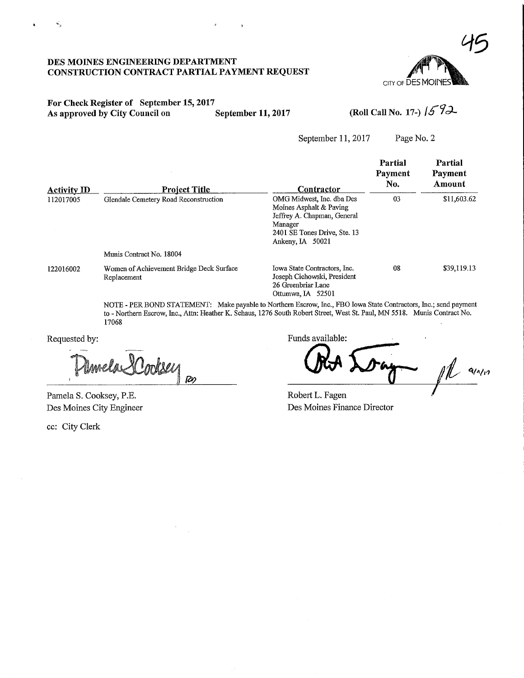

### DES MOINES ENGINEERING DEPARTMENT CONSTRUCTION CONTRACT PARTIAL PAYMENT REQUEST

#### For Check Register of September 15, 2017<br>As approved by City Council on September 11, 2017 As approved by City Council on September 11, 2017 (Roll Call No. 17-)  $\sqrt{5}$   $\sqrt{2}$

September 11, 2017 Page No. 2

| <b>Activity ID</b> | <b>Project Title</b>                                    | Contractor                                                                                                                                         | Partial<br>Payment<br>No. | Partial<br>Payment<br>Amount |
|--------------------|---------------------------------------------------------|----------------------------------------------------------------------------------------------------------------------------------------------------|---------------------------|------------------------------|
| 112017005          | Glendale Cemetery Road Reconstruction                   | OMG Midwest, Inc. dba Des<br>Moines Asphalt & Paving<br>Jeffrey A. Chapman, General<br>Manager<br>2401 SE Tones Drive, Ste. 13<br>Ankeny, IA 50021 | 03                        | \$11,603.62                  |
|                    | Munis Contract No. 18004                                |                                                                                                                                                    |                           |                              |
| 122016002          | Women of Achievement Bridge Deck Surface<br>Replacement | Iowa State Contractors, Inc.<br>Joseph Cichowski, President<br>26 Greenbriar Lane<br>Ottumwa, IA 52501                                             | 08                        | \$39,119.13                  |

NOTE - PER BOND STATEMENT: Make payable to Northern Escrow, Inc., FBO Iowa State Contractors, Inc.; send payment to - Northern Escrow, Inc., Attn: Heather K. Schaus, 1276 South Robert Street, West St. Paul, MN 5518. Munis Contract No. 17068

Requested by:

**R**in

Pamela S. Cooksey, P.E. Des Moines City Engineer

ec: City Clerk

Funds available:

 $\mathbb{Z}$  and

Robert L. Fagen Des Moines Finance Director